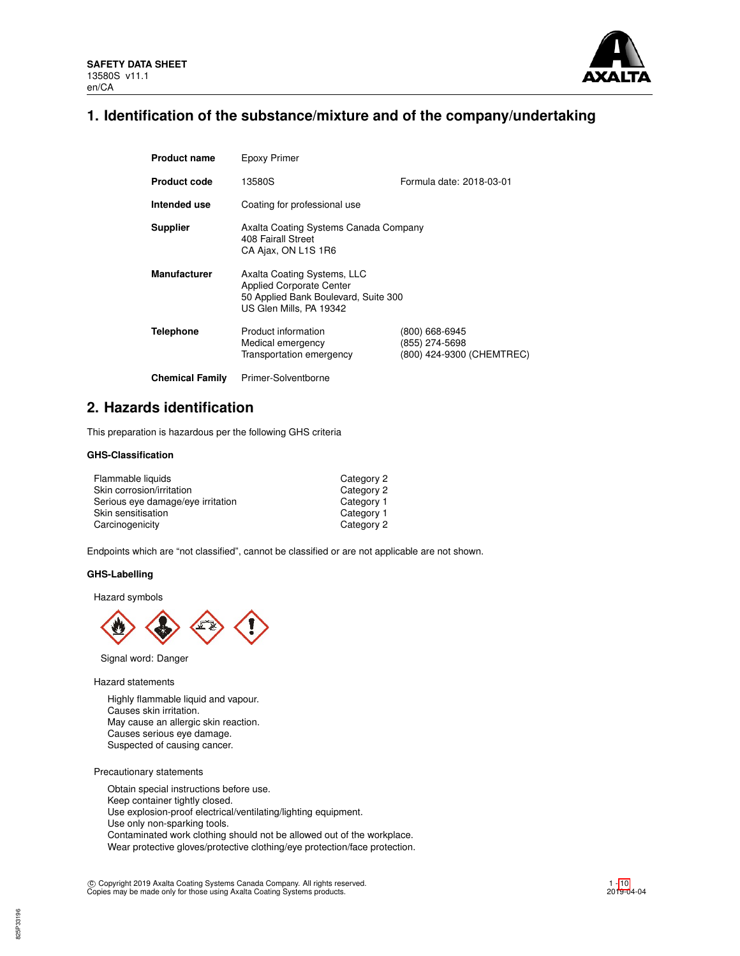

# **1. Identification of the substance/mixture and of the company/undertaking**

| <b>Product name</b>    | Epoxy Primer                                                                                                                      |                                                               |
|------------------------|-----------------------------------------------------------------------------------------------------------------------------------|---------------------------------------------------------------|
| <b>Product code</b>    | 13580S                                                                                                                            | Formula date: 2018-03-01                                      |
| Intended use           | Coating for professional use                                                                                                      |                                                               |
| <b>Supplier</b>        | Axalta Coating Systems Canada Company<br>408 Fairall Street<br>CA Ajax, ON L1S 1R6                                                |                                                               |
| <b>Manufacturer</b>    | Axalta Coating Systems, LLC<br><b>Applied Corporate Center</b><br>50 Applied Bank Boulevard, Suite 300<br>US Glen Mills, PA 19342 |                                                               |
| <b>Telephone</b>       | Product information<br>Medical emergency<br>Transportation emergency                                                              | (800) 668-6945<br>(855) 274-5698<br>(800) 424-9300 (CHEMTREC) |
| <b>Chemical Family</b> | Primer-Solventborne                                                                                                               |                                                               |

# **2. Hazards identification**

This preparation is hazardous per the following GHS criteria

# **GHS-Classification**

| Flammable liquids                 | Category 2 |
|-----------------------------------|------------|
| Skin corrosion/irritation         | Category 2 |
| Serious eye damage/eye irritation | Category 1 |
| Skin sensitisation                | Category 1 |
| Carcinogenicity                   | Category 2 |

Endpoints which are "not classified", cannot be classified or are not applicable are not shown.

## **GHS-Labelling**

Hazard symbols



Signal word: Danger

Hazard statements

Highly flammable liquid and vapour. Causes skin irritation. May cause an allergic skin reaction. Causes serious eye damage. Suspected of causing cancer.

Precautionary statements

Obtain special instructions before use. Keep container tightly closed. Use explosion-proof electrical/ventilating/lighting equipment. Use only non-sparking tools. Contaminated work clothing should not be allowed out of the workplace. Wear protective gloves/protective clothing/eye protection/face protection.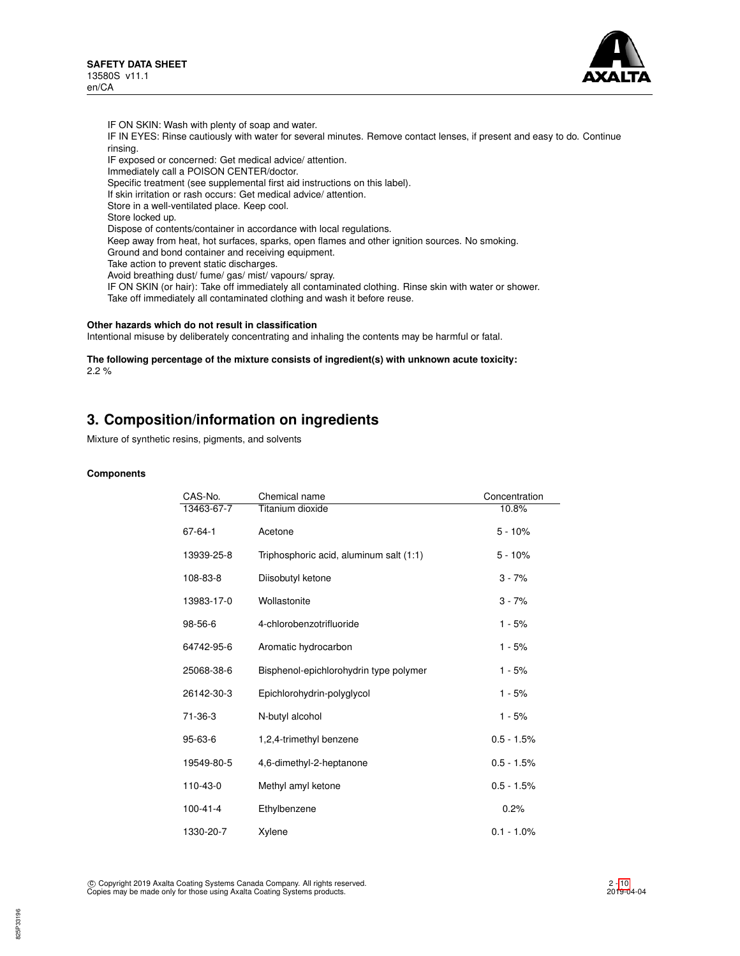

IF ON SKIN: Wash with plenty of soap and water. IF IN EYES: Rinse cautiously with water for several minutes. Remove contact lenses, if present and easy to do. Continue rinsing. IF exposed or concerned: Get medical advice/ attention. Immediately call a POISON CENTER/doctor. Specific treatment (see supplemental first aid instructions on this label). If skin irritation or rash occurs: Get medical advice/ attention. Store in a well-ventilated place. Keep cool. Store locked up. Dispose of contents/container in accordance with local regulations. Keep away from heat, hot surfaces, sparks, open flames and other ignition sources. No smoking. Ground and bond container and receiving equipment. Take action to prevent static discharges. Avoid breathing dust/ fume/ gas/ mist/ vapours/ spray. IF ON SKIN (or hair): Take off immediately all contaminated clothing. Rinse skin with water or shower. Take off immediately all contaminated clothing and wash it before reuse.

## **Other hazards which do not result in classification**

Intentional misuse by deliberately concentrating and inhaling the contents may be harmful or fatal.

**The following percentage of the mixture consists of ingredient(s) with unknown acute toxicity:** 2.2 %

# **3. Composition/information on ingredients**

Mixture of synthetic resins, pigments, and solvents

#### **Components**

| CAS-No.        | Chemical name                           | Concentration |
|----------------|-----------------------------------------|---------------|
| 13463-67-7     | Titanium dioxide                        | 10.8%         |
| $67 - 64 - 1$  | Acetone                                 | $5 - 10%$     |
| 13939-25-8     | Triphosphoric acid, aluminum salt (1:1) | $5 - 10%$     |
| 108-83-8       | Diisobutyl ketone                       | $3 - 7%$      |
| 13983-17-0     | Wollastonite                            | $3 - 7%$      |
| 98-56-6        | 4-chlorobenzotrifluoride                | $1 - 5%$      |
| 64742-95-6     | Aromatic hydrocarbon                    | 1 - 5%        |
| 25068-38-6     | Bisphenol-epichlorohydrin type polymer  | $1 - 5%$      |
| 26142-30-3     | Epichlorohydrin-polyglycol              | $1 - 5%$      |
| 71-36-3        | N-butyl alcohol                         | $1 - 5%$      |
| 95-63-6        | 1,2,4-trimethyl benzene                 | $0.5 - 1.5%$  |
| 19549-80-5     | 4,6-dimethyl-2-heptanone                | $0.5 - 1.5%$  |
| 110-43-0       | Methyl amyl ketone                      | $0.5 - 1.5%$  |
| $100 - 41 - 4$ | Ethylbenzene                            | 0.2%          |
| 1330-20-7      | Xylene                                  | $0.1 - 1.0\%$ |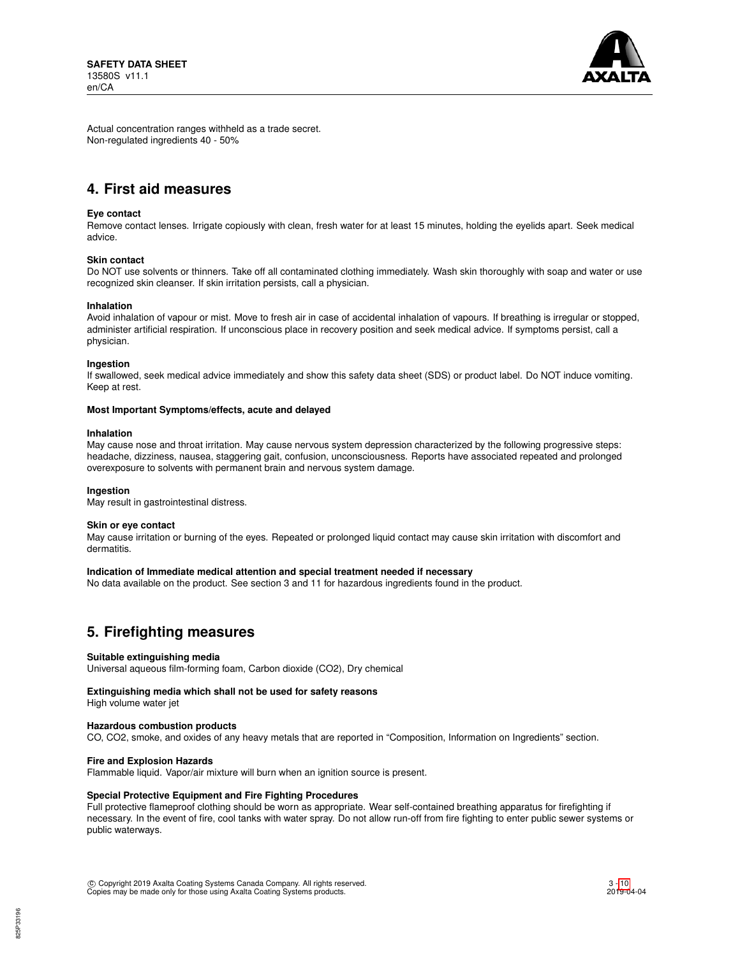

Actual concentration ranges withheld as a trade secret. Non-regulated ingredients 40 - 50%

# **4. First aid measures**

### **Eye contact**

Remove contact lenses. Irrigate copiously with clean, fresh water for at least 15 minutes, holding the eyelids apart. Seek medical advice.

### **Skin contact**

Do NOT use solvents or thinners. Take off all contaminated clothing immediately. Wash skin thoroughly with soap and water or use recognized skin cleanser. If skin irritation persists, call a physician.

#### **Inhalation**

Avoid inhalation of vapour or mist. Move to fresh air in case of accidental inhalation of vapours. If breathing is irregular or stopped, administer artificial respiration. If unconscious place in recovery position and seek medical advice. If symptoms persist, call a physician.

#### **Ingestion**

If swallowed, seek medical advice immediately and show this safety data sheet (SDS) or product label. Do NOT induce vomiting. Keep at rest.

#### **Most Important Symptoms/effects, acute and delayed**

#### **Inhalation**

May cause nose and throat irritation. May cause nervous system depression characterized by the following progressive steps: headache, dizziness, nausea, staggering gait, confusion, unconsciousness. Reports have associated repeated and prolonged overexposure to solvents with permanent brain and nervous system damage.

### **Ingestion**

May result in gastrointestinal distress.

### **Skin or eye contact**

May cause irritation or burning of the eyes. Repeated or prolonged liquid contact may cause skin irritation with discomfort and dermatitis.

## **Indication of Immediate medical attention and special treatment needed if necessary**

No data available on the product. See section 3 and 11 for hazardous ingredients found in the product.

# **5. Firefighting measures**

### **Suitable extinguishing media**

Universal aqueous film-forming foam, Carbon dioxide (CO2), Dry chemical

### **Extinguishing media which shall not be used for safety reasons**

High volume water jet

### **Hazardous combustion products**

CO, CO2, smoke, and oxides of any heavy metals that are reported in "Composition, Information on Ingredients" section.

### **Fire and Explosion Hazards**

Flammable liquid. Vapor/air mixture will burn when an ignition source is present.

## **Special Protective Equipment and Fire Fighting Procedures**

Full protective flameproof clothing should be worn as appropriate. Wear self-contained breathing apparatus for firefighting if necessary. In the event of fire, cool tanks with water spray. Do not allow run-off from fire fighting to enter public sewer systems or public waterways.

 c Copyright 2019 Axalta Coating Systems Canada Company. All rights reserved. Copies may be made only for those using Axalta Coating Systems products.

3 - [10](#page-9-0) 2019-04-04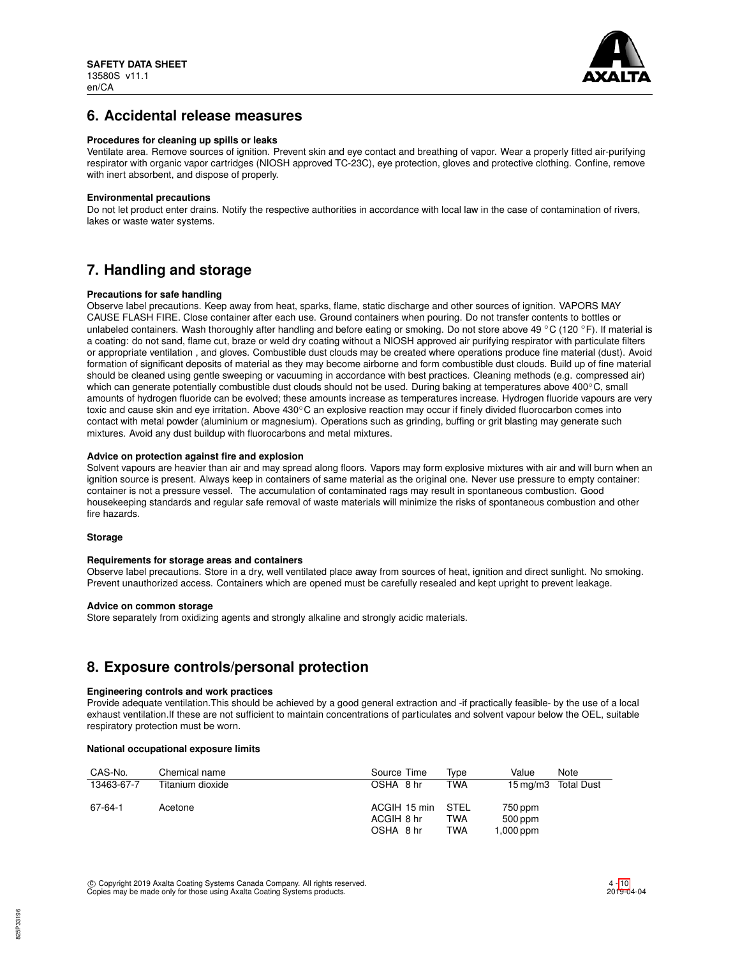

# **6. Accidental release measures**

### **Procedures for cleaning up spills or leaks**

Ventilate area. Remove sources of ignition. Prevent skin and eye contact and breathing of vapor. Wear a properly fitted air-purifying respirator with organic vapor cartridges (NIOSH approved TC-23C), eye protection, gloves and protective clothing. Confine, remove with inert absorbent, and dispose of properly.

## **Environmental precautions**

Do not let product enter drains. Notify the respective authorities in accordance with local law in the case of contamination of rivers, lakes or waste water systems.

# **7. Handling and storage**

## **Precautions for safe handling**

Observe label precautions. Keep away from heat, sparks, flame, static discharge and other sources of ignition. VAPORS MAY CAUSE FLASH FIRE. Close container after each use. Ground containers when pouring. Do not transfer contents to bottles or unlabeled containers. Wash thoroughly after handling and before eating or smoking. Do not store above 49 °C (120 °F). If material is a coating: do not sand, flame cut, braze or weld dry coating without a NIOSH approved air purifying respirator with particulate filters or appropriate ventilation , and gloves. Combustible dust clouds may be created where operations produce fine material (dust). Avoid formation of significant deposits of material as they may become airborne and form combustible dust clouds. Build up of fine material should be cleaned using gentle sweeping or vacuuming in accordance with best practices. Cleaning methods (e.g. compressed air) which can generate potentially combustible dust clouds should not be used. During baking at temperatures above 400℃, small amounts of hydrogen fluoride can be evolved; these amounts increase as temperatures increase. Hydrogen fluoride vapours are very toxic and cause skin and eye irritation. Above 430°C an explosive reaction may occur if finely divided fluorocarbon comes into contact with metal powder (aluminium or magnesium). Operations such as grinding, buffing or grit blasting may generate such mixtures. Avoid any dust buildup with fluorocarbons and metal mixtures.

## **Advice on protection against fire and explosion**

Solvent vapours are heavier than air and may spread along floors. Vapors may form explosive mixtures with air and will burn when an ignition source is present. Always keep in containers of same material as the original one. Never use pressure to empty container: container is not a pressure vessel. The accumulation of contaminated rags may result in spontaneous combustion. Good housekeeping standards and regular safe removal of waste materials will minimize the risks of spontaneous combustion and other fire hazards.

### **Storage**

### **Requirements for storage areas and containers**

Observe label precautions. Store in a dry, well ventilated place away from sources of heat, ignition and direct sunlight. No smoking. Prevent unauthorized access. Containers which are opened must be carefully resealed and kept upright to prevent leakage.

### **Advice on common storage**

Store separately from oxidizing agents and strongly alkaline and strongly acidic materials.

# **8. Exposure controls/personal protection**

### **Engineering controls and work practices**

Provide adequate ventilation.This should be achieved by a good general extraction and -if practically feasible- by the use of a local exhaust ventilation.If these are not sufficient to maintain concentrations of particulates and solvent vapour below the OEL, suitable respiratory protection must be worn.

## **National occupational exposure limits**

| CAS-No.    | Chemical name    | Source Time                             | Tvpe                      | Value<br>Note                             |
|------------|------------------|-----------------------------------------|---------------------------|-------------------------------------------|
| 13463-67-7 | Titanium dioxide | OSHA 8 hr                               | TWA                       | <b>Total Dust</b><br>$15 \,\mathrm{mq/m}$ |
| 67-64-1    | Acetone          | ACGIH 15 min<br>ACGIH 8 hr<br>OSHA 8 hr | STEL<br>TWA<br><b>TWA</b> | 750 ppm<br>500 ppm<br>1,000 ppm           |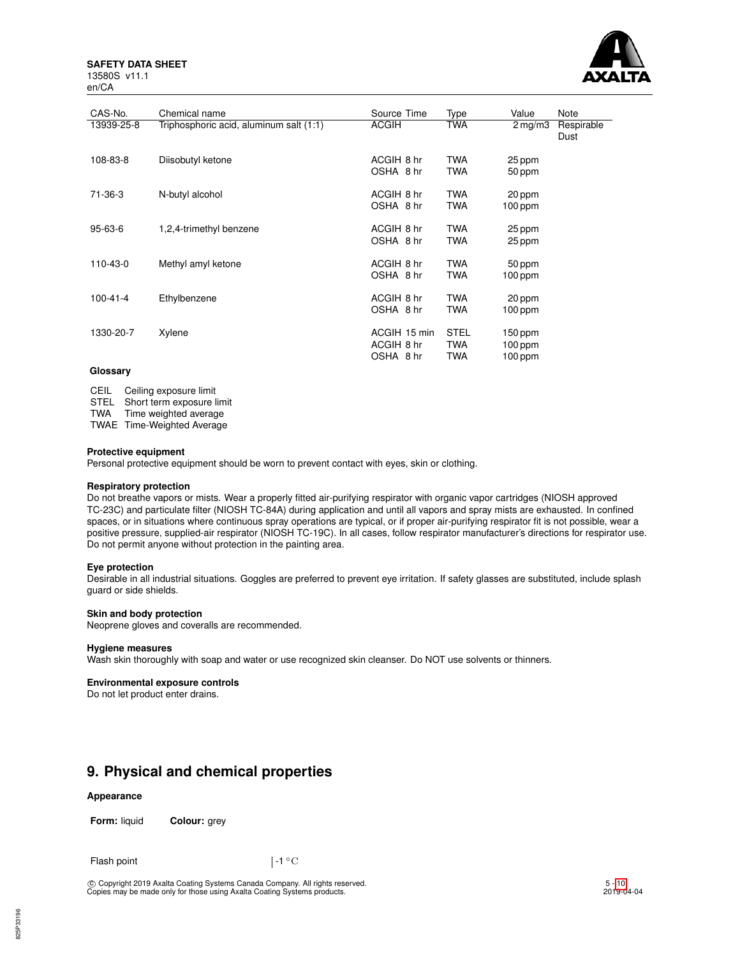### **SAFETY DATA SHEET** 13580S v11.1



| CAS-No.        | Chemical name                           | Source Time                             | Type                                    | Value                           | Note               |
|----------------|-----------------------------------------|-----------------------------------------|-----------------------------------------|---------------------------------|--------------------|
| 13939-25-8     | Triphosphoric acid, aluminum salt (1:1) | <b>ACGIH</b>                            | TWA                                     | $2 \,\mathrm{mg/m}$             | Respirable<br>Dust |
| 108-83-8       | Diisobutyl ketone                       | ACGIH 8 hr<br>OSHA 8 hr                 | <b>TWA</b><br><b>TWA</b>                | 25 ppm<br>50 ppm                |                    |
| 71-36-3        | N-butyl alcohol                         | ACGIH 8 hr<br>OSHA 8 hr                 | <b>TWA</b><br><b>TWA</b>                | 20 ppm<br>$100$ ppm             |                    |
| $95 - 63 - 6$  | 1,2,4-trimethyl benzene                 | ACGIH 8 hr<br>OSHA 8 hr                 | <b>TWA</b><br><b>TWA</b>                | 25 ppm<br>25 ppm                |                    |
| 110-43-0       | Methyl amyl ketone                      | ACGIH 8 hr<br>OSHA 8 hr                 | <b>TWA</b><br><b>TWA</b>                | 50 ppm<br>$100$ ppm             |                    |
| $100 - 41 - 4$ | Ethylbenzene                            | ACGIH 8 hr<br>OSHA 8 hr                 | <b>TWA</b><br><b>TWA</b>                | 20 ppm<br>$100$ ppm             |                    |
| 1330-20-7      | Xylene                                  | ACGIH 15 min<br>ACGIH 8 hr<br>OSHA 8 hr | <b>STEL</b><br><b>TWA</b><br><b>TWA</b> | 150 ppm<br>$100$ ppm<br>100 ppm |                    |

## **Glossary**

CEIL Ceiling exposure limit

STEL Short term exposure limit

TWA Time weighted average

TWAE Time-Weighted Average

## **Protective equipment**

Personal protective equipment should be worn to prevent contact with eyes, skin or clothing.

## **Respiratory protection**

Do not breathe vapors or mists. Wear a properly fitted air-purifying respirator with organic vapor cartridges (NIOSH approved TC-23C) and particulate filter (NIOSH TC-84A) during application and until all vapors and spray mists are exhausted. In confined spaces, or in situations where continuous spray operations are typical, or if proper air-purifying respirator fit is not possible, wear a positive pressure, supplied-air respirator (NIOSH TC-19C). In all cases, follow respirator manufacturer's directions for respirator use. Do not permit anyone without protection in the painting area.

## **Eye protection**

Desirable in all industrial situations. Goggles are preferred to prevent eye irritation. If safety glasses are substituted, include splash guard or side shields.

### **Skin and body protection**

Neoprene gloves and coveralls are recommended.

### **Hygiene measures**

Wash skin thoroughly with soap and water or use recognized skin cleanser. Do NOT use solvents or thinners.

## **Environmental exposure controls**

Do not let product enter drains.

# **9. Physical and chemical properties**

### **Appearance**

**Form:** liquid **Colour:** grey

Flash point  $\vert -1 \vert ^{\circ}$  C

c Copyright 2019 Axalta Coating Systems Canada Company. All rights reserved. Copies may be made only for those using Axalta Coating Systems products.

5 - [10](#page-9-0)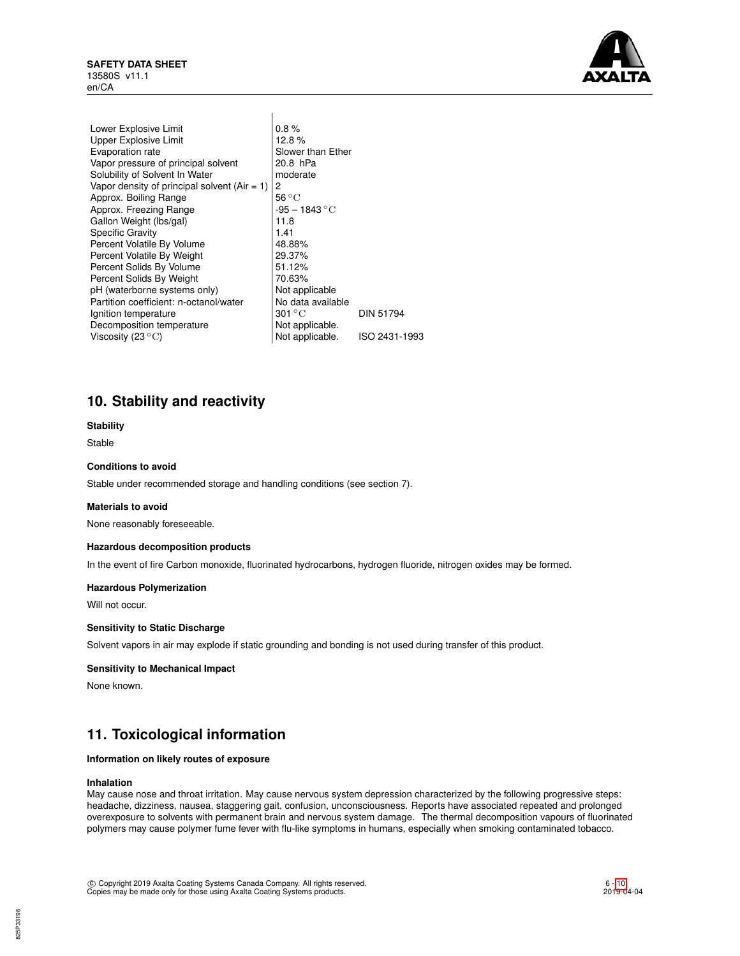

| Lower Explosive Limit                          | 0.8%                        |                  |
|------------------------------------------------|-----------------------------|------------------|
| <b>Upper Explosive Limit</b>                   | 12.8%                       |                  |
| Evaporation rate                               | Slower than Ether           |                  |
| Vapor pressure of principal solvent            | 20.8 hPa                    |                  |
| Solubility of Solvent In Water                 | moderate                    |                  |
| Vapor density of principal solvent $(Air = 1)$ | 2                           |                  |
| Approx. Boiling Range                          | $56^{\circ}$ C              |                  |
| Approx. Freezing Range                         | $-95 - 1843 °C$             |                  |
| Gallon Weight (Ibs/gal)                        | 11.8                        |                  |
| <b>Specific Gravity</b>                        | 1.41                        |                  |
| Percent Volatile By Volume                     | 48.88%                      |                  |
| Percent Volatile By Weight                     | 29.37%                      |                  |
| Percent Solids By Volume                       | 51.12%                      |                  |
| Percent Solids By Weight                       | 70.63%                      |                  |
| pH (waterborne systems only)                   | Not applicable              |                  |
| Partition coefficient: n-octanol/water         | No data available           |                  |
| Ignition temperature                           | $301\,{}^{\circ}\mathrm{C}$ | <b>DIN 51794</b> |
| Decomposition temperature                      | Not applicable.             |                  |
| Viscosity (23 $^{\circ}{\rm C}$ )              | Not applicable.             | ISO 2431-1993    |
|                                                |                             |                  |

# **10. Stability and reactivity**

## **Stability**

Stable

# **Conditions to avoid**

Stable under recommended storage and handling conditions (see section 7).

### **Materials to avoid**

None reasonably foreseeable.

### **Hazardous decomposition products**

In the event of fire Carbon monoxide, fluorinated hydrocarbons, hydrogen fluoride, nitrogen oxides may be formed.

### **Hazardous Polymerization**

Will not occur.

### **Sensitivity to Static Discharge**

Solvent vapors in air may explode if static grounding and bonding is not used during transfer of this product.

### **Sensitivity to Mechanical Impact**

None known.

# **11. Toxicological information**

## **Information on likely routes of exposure**

#### **Inhalation**

May cause nose and throat irritation. May cause nervous system depression characterized by the following progressive steps: headache, dizziness, nausea, staggering gait, confusion, unconsciousness. Reports have associated repeated and prolonged overexposure to solvents with permanent brain and nervous system damage. The thermal decomposition vapours of fluorinated polymers may cause polymer fume fever with flu-like symptoms in humans, especially when smoking contaminated tobacco.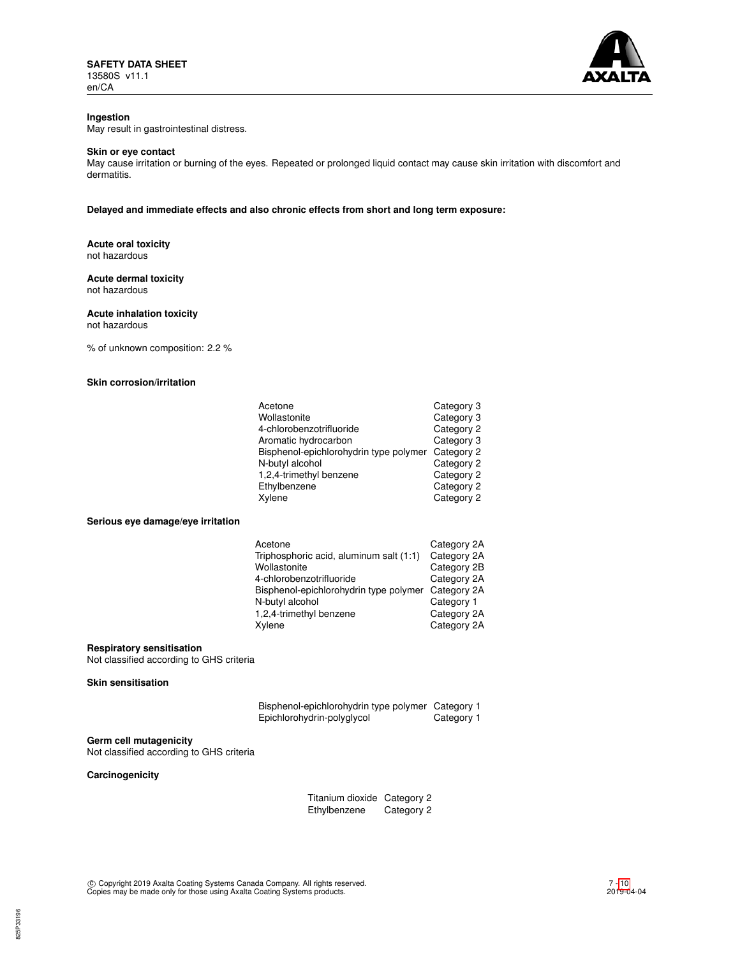

# **Ingestion**

May result in gastrointestinal distress.

## **Skin or eye contact**

May cause irritation or burning of the eyes. Repeated or prolonged liquid contact may cause skin irritation with discomfort and dermatitis.

**Delayed and immediate effects and also chronic effects from short and long term exposure:**

### **Acute oral toxicity** not hazardous

## **Acute dermal toxicity** not hazardous

## **Acute inhalation toxicity**

not hazardous

% of unknown composition: 2.2 %

## **Skin corrosion/irritation**

| Acetone                                | Category 3 |
|----------------------------------------|------------|
| Wollastonite                           | Category 3 |
| 4-chlorobenzotrifluoride               | Category 2 |
| Aromatic hydrocarbon                   | Category 3 |
| Bisphenol-epichlorohydrin type polymer | Category 2 |
| N-butyl alcohol                        | Category 2 |
| 1,2,4-trimethyl benzene                | Category 2 |
| Ethylbenzene                           | Category 2 |
| Xylene                                 | Category 2 |

### **Serious eye damage/eye irritation**

| Acetone                                 | Category 2A |
|-----------------------------------------|-------------|
| Triphosphoric acid, aluminum salt (1:1) | Category 2A |
| Wollastonite                            | Category 2B |
| 4-chlorobenzotrifluoride                | Category 2A |
| Bisphenol-epichlorohydrin type polymer  | Category 2A |
| N-butyl alcohol                         | Category 1  |
| 1,2,4-trimethyl benzene                 | Category 2A |
| Xylene                                  | Category 2A |
|                                         |             |

## **Respiratory sensitisation**

Not classified according to GHS criteria

## **Skin sensitisation**

| Bisphenol-epichlorohydrin type polymer Category 1 |            |
|---------------------------------------------------|------------|
| Epichlorohydrin-polyglycol                        | Category 1 |

## **Germ cell mutagenicity**

Not classified according to GHS criteria

# **Carcinogenicity**

| Titanium dioxide Category 2 |            |
|-----------------------------|------------|
| Ethylbenzene                | Category 2 |

c Copyright 2019 Axalta Coating Systems Canada Company. All rights reserved. Copies may be made only for those using Axalta Coating Systems products.

7 - [10](#page-9-0)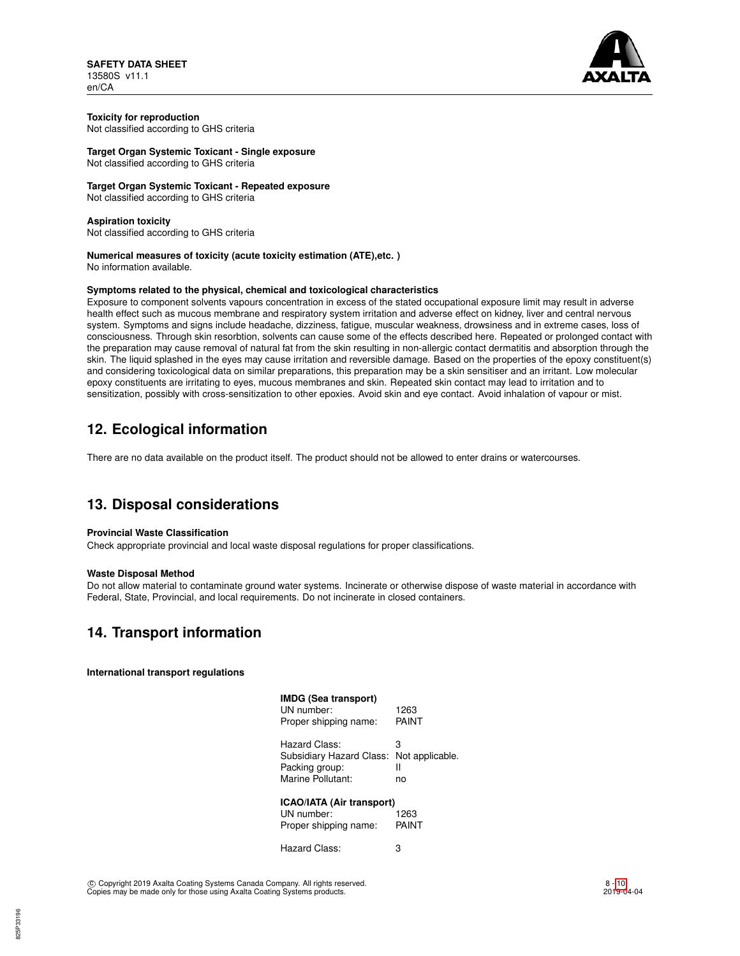**SAFETY DATA SHEET** 13580S v11.1 en/CA



#### **Toxicity for reproduction** Not classified according to GHS criteria

**Target Organ Systemic Toxicant - Single exposure** Not classified according to GHS criteria

# **Target Organ Systemic Toxicant - Repeated exposure**

Not classified according to GHS criteria

## **Aspiration toxicity**

Not classified according to GHS criteria

# **Numerical measures of toxicity (acute toxicity estimation (ATE),etc. )**

No information available.

## **Symptoms related to the physical, chemical and toxicological characteristics**

Exposure to component solvents vapours concentration in excess of the stated occupational exposure limit may result in adverse health effect such as mucous membrane and respiratory system irritation and adverse effect on kidney, liver and central nervous system. Symptoms and signs include headache, dizziness, fatigue, muscular weakness, drowsiness and in extreme cases, loss of consciousness. Through skin resorbtion, solvents can cause some of the effects described here. Repeated or prolonged contact with the preparation may cause removal of natural fat from the skin resulting in non-allergic contact dermatitis and absorption through the skin. The liquid splashed in the eyes may cause irritation and reversible damage. Based on the properties of the epoxy constituent(s) and considering toxicological data on similar preparations, this preparation may be a skin sensitiser and an irritant. Low molecular epoxy constituents are irritating to eyes, mucous membranes and skin. Repeated skin contact may lead to irritation and to sensitization, possibly with cross-sensitization to other epoxies. Avoid skin and eye contact. Avoid inhalation of vapour or mist.

# **12. Ecological information**

There are no data available on the product itself. The product should not be allowed to enter drains or watercourses.

# **13. Disposal considerations**

## **Provincial Waste Classification**

Check appropriate provincial and local waste disposal regulations for proper classifications.

## **Waste Disposal Method**

Do not allow material to contaminate ground water systems. Incinerate or otherwise dispose of waste material in accordance with Federal, State, Provincial, and local requirements. Do not incinerate in closed containers.

# **14. Transport information**

**International transport regulations**

| <b>IMDG (Sea transport)</b><br>UN number:<br>Proper shipping name:                               | 1263<br>PAINT |
|--------------------------------------------------------------------------------------------------|---------------|
| Hazard Class:<br>Subsidiary Hazard Class: Not applicable.<br>Packing group:<br>Marine Pollutant: | 3<br>Ш<br>no  |
| <b>ICAO/IATA (Air transport)</b><br>UN number:<br>Proper shipping name:                          | 1263<br>PAINT |

Hazard Class: 3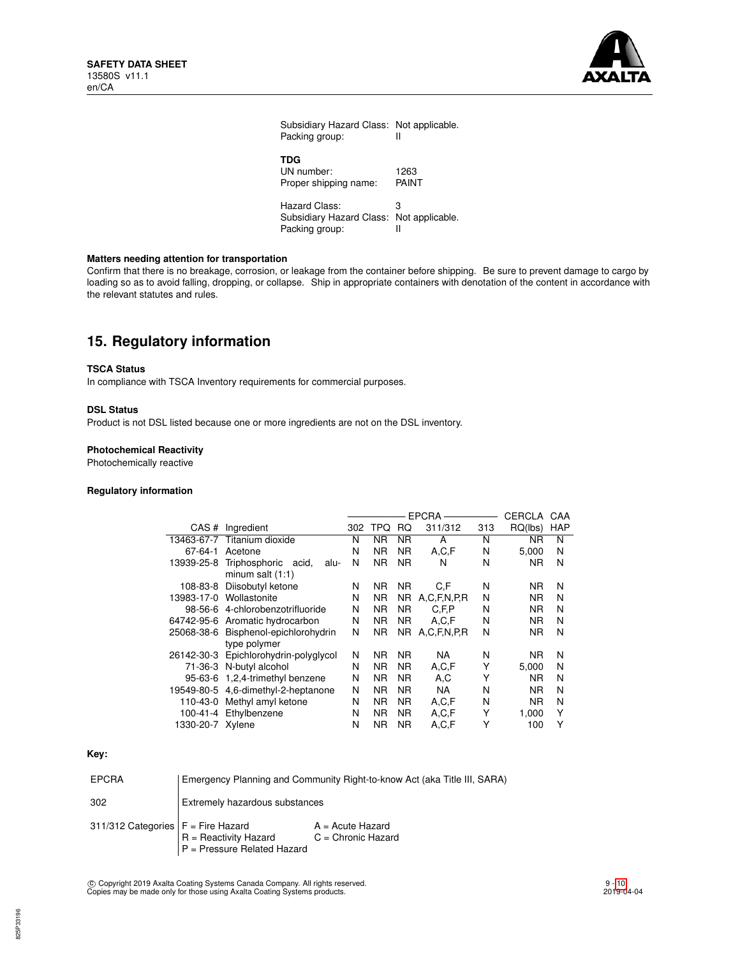

| Subsidiary Hazard Class: Not applicable.<br>Packing group:                  | Ш             |
|-----------------------------------------------------------------------------|---------------|
| TDG<br>UN number:<br>Proper shipping name:                                  | 1263<br>PAINT |
| Hazard Class:<br>Subsidiary Hazard Class: Not applicable.<br>Packing group: | з             |

## **Matters needing attention for transportation**

Confirm that there is no breakage, corrosion, or leakage from the container before shipping. Be sure to prevent damage to cargo by loading so as to avoid falling, dropping, or collapse. Ship in appropriate containers with denotation of the content in accordance with the relevant statutes and rules.

# **15. Regulatory information**

### **TSCA Status**

In compliance with TSCA Inventory requirements for commercial purposes.

## **DSL Status**

Product is not DSL listed because one or more ingredients are not on the DSL inventory.

## **Photochemical Reactivity**

Photochemically reactive

## **Regulatory information**

|                  |                                      | <b>EPCRA</b> |           |     | CERCLA      | CAA |           |            |
|------------------|--------------------------------------|--------------|-----------|-----|-------------|-----|-----------|------------|
| CAS#             | Ingredient                           | 302          | TPQ       | RQ  | 311/312     | 313 | RQ(lbs)   | <b>HAP</b> |
| 13463-67-7       | Titanium dioxide                     | N            | NR        | ΝR  | A           | N   | ΝR        | N          |
| 67-64-1          | Acetone                              | N            | ΝR        | ΝR  | A.C.F       | N   | 5.000     | N          |
| 13939-25-8       | Triphosphoric<br>acid,<br>alu-       | N            | <b>NR</b> | NR. | N           | N   | <b>NR</b> | N          |
|                  | minum salt $(1:1)$                   |              |           |     |             |     |           |            |
| 108-83-8         | Diisobutyl ketone                    | N            | ΝR        | NR. | C.F         | N   | NR.       | N          |
|                  | 13983-17-0 Wollastonite              | N            | ΝR        | NR. | A.C.F.N.P.R | N   | NR.       | N          |
|                  | 98-56-6 4-chlorobenzotrifluoride     | N            | ΝR        | NR. | C.F.P       | N   | ΝR        | N          |
|                  | 64742-95-6 Aromatic hydrocarbon      | N            | ΝR        | NR. | A,C,F       | N   | ΝR        | N          |
|                  | 25068-38-6 Bisphenol-epichlorohydrin | N            | ΝR        | NR. | A.C.F.N.P.R | N   | ΝR        | N          |
|                  | type polymer                         |              |           |     |             |     |           |            |
| 26142-30-3       | Epichlorohydrin-polyglycol           | N            | ΝR        | NR. | <b>NA</b>   | N   | ΝR        | N          |
|                  | 71-36-3 N-butyl alcohol              | N            | ΝR        | NR. | A, C, F     | Υ   | 5.000     | N          |
|                  | 95-63-6 1,2,4-trimethyl benzene      | N            | ΝR        | ΝR  | A,C         | Υ   | <b>NR</b> | N          |
|                  | 19549-80-5 4,6-dimethyl-2-heptanone  | N            | ΝR        | ΝR  | <b>NA</b>   | N   | <b>NR</b> | N          |
| 110-43-0         | Methyl amyl ketone                   | N            | ΝR        | ΝR  | A,C,F       | Ν   | ΝR        | N          |
|                  | 100-41-4 Ethylbenzene                | N            | ΝR        | NR. | A,C,F       | Υ   | 1.000     | Υ          |
| 1330-20-7 Xylene |                                      | N            | <b>NR</b> | ΝR  | A,C,F       | Υ   | 100       | Υ          |

## **Key:**

| <b>EPCRA</b>                         | Emergency Planning and Community Right-to-know Act (aka Title III, SARA) |                                            |  |  |  |  |
|--------------------------------------|--------------------------------------------------------------------------|--------------------------------------------|--|--|--|--|
| 302                                  | Extremely hazardous substances                                           |                                            |  |  |  |  |
| 311/312 Categories $F =$ Fire Hazard | R = Reactivity Hazard<br>P = Pressure Related Hazard                     | $A = Acute Hazard$<br>$C =$ Chronic Hazard |  |  |  |  |